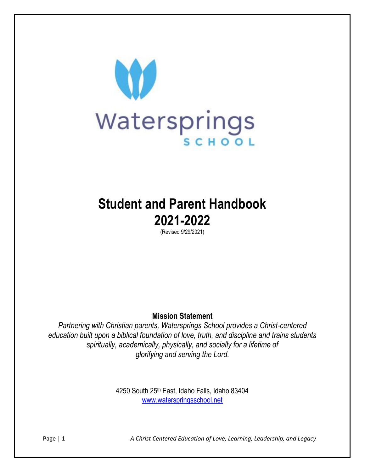

# **Student and Parent Handbook 2021-2022**

(Revised 9/29/2021)

**Mission Statement**

*Partnering with Christian parents, Watersprings School provides a Christ-centered education built upon a biblical foundation of love, truth, and discipline and trains students spiritually, academically, physically, and socially for a lifetime of glorifying and serving the Lord.*

> 4250 South 25th East, Idaho Falls, Idaho 83404 [www.waterspringsschool.net](http://www.waterspringsschool.net/)

Page | 1 *A Christ Centered Education of Love, Learning, Leadership, and Legacy*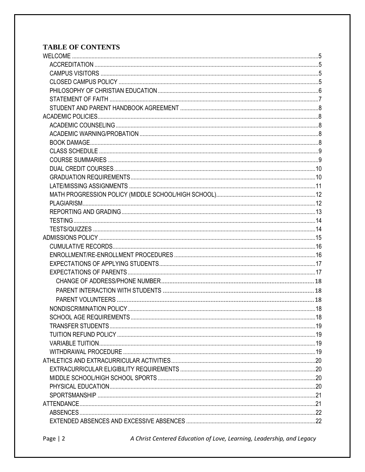# **TABLE OF CONTENTS**

A Christ Centered Education of Love, Learning, Leadership, and Legacy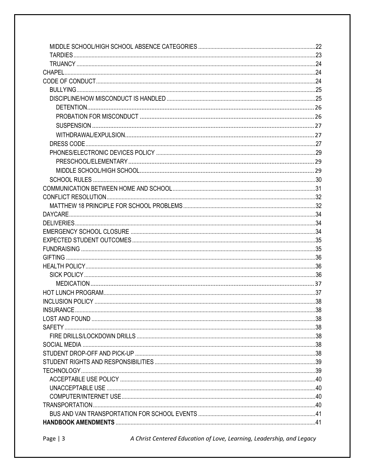A Christ Centered Education of Love, Learning, Leadership, and Legacy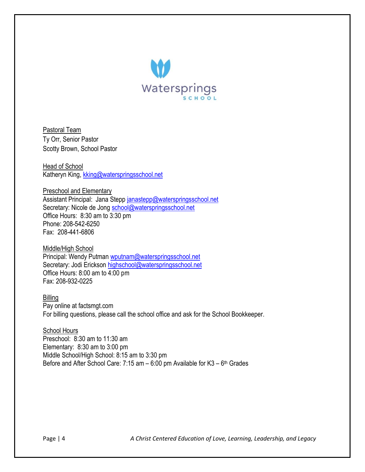

Pastoral Team Ty Orr, Senior Pastor Scotty Brown, School Pastor

Head of School Katheryn King, [kking@waterspringsschool.net](mailto:kking@waterspringsschool.net)

Preschool and Elementary Assistant Principal: Jana Stepp [janastepp@waterspringsschool.net](mailto:janastepp@waterspringsschool.net) Secretary: Nicole de Jong [school@waterspringsschool.net](mailto:school@waterspringsschool.net) Office Hours: 8:30 am to 3:30 pm Phone: 208-542-6250 Fax: 208-441-6806

Middle/High School Principal: Wendy Putman [wputnam@waterspringsschool.net](mailto:wputnam@waterspringsschool.net) Secretary: Jodi Erickson [highschool@waterspringsschool.net](mailto:highschool@waterspringsschool.net) Office Hours: 8:00 am to 4:00 pm Fax: 208-932-0225

Billing Pay online at factsmgt.com For billing questions, please call the school office and ask for the School Bookkeeper.

**School Hours** Preschool: 8:30 am to 11:30 am Elementary: 8:30 am to 3:00 pm Middle School/High School: 8:15 am to 3:30 pm Before and After School Care: 7:15 am – 6:00 pm Available for K3 – 6<sup>th</sup> Grades

Page | 4 *A Christ Centered Education of Love, Learning, Leadership, and Legacy*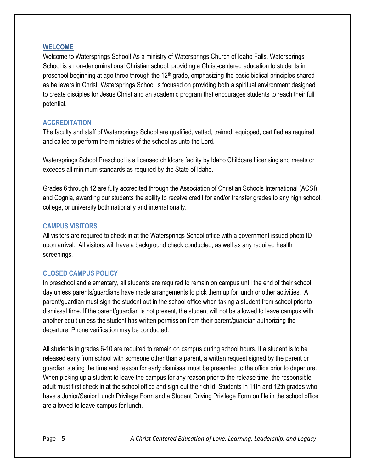#### <span id="page-4-0"></span>**WELCOME**

Welcome to Watersprings School! As a ministry of Watersprings Church of Idaho Falls, Watersprings School is a non-denominational Christian school, providing a Christ-centered education to students in preschool beginning at age three through the  $12<sup>th</sup>$  grade, emphasizing the basic biblical principles shared as believers in Christ. Watersprings School is focused on providing both a spiritual environment designed to create disciples for Jesus Christ and an academic program that encourages students to reach their full potential.

#### <span id="page-4-1"></span>**ACCREDITATION**

The faculty and staff of Watersprings School are qualified, vetted, trained, equipped, certified as required, and called to perform the ministries of the school as unto the Lord.

Watersprings School Preschool is a licensed childcare facility by Idaho Childcare Licensing and meets or exceeds all minimum standards as required by the State of Idaho.

Grades 6 through 12 are fully accredited through the Association of Christian Schools International (ACSI) and Cognia, awarding our students the ability to receive credit for and/or transfer grades to any high school, college, or university both nationally and internationally.

#### <span id="page-4-2"></span>**CAMPUS VISITORS**

All visitors are required to check in at the Watersprings School office with a government issued photo ID upon arrival. All visitors will have a background check conducted, as well as any required health screenings.

## <span id="page-4-3"></span>**CLOSED CAMPUS POLICY**

In preschool and elementary, all students are required to remain on campus until the end of their school day unless parents/guardians have made arrangements to pick them up for lunch or other activities. A parent/guardian must sign the student out in the school office when taking a student from school prior to dismissal time. If the parent/guardian is not present, the student will not be allowed to leave campus with another adult unless the student has written permission from their parent/guardian authorizing the departure. Phone verification may be conducted.

All students in grades 6-10 are required to remain on campus during school hours. If a student is to be released early from school with someone other than a parent, a written request signed by the parent or guardian stating the time and reason for early dismissal must be presented to the office prior to departure. When picking up a student to leave the campus for any reason prior to the release time, the responsible adult must first check in at the school office and sign out their child. Students in 11th and 12th grades who have a Junior/Senior Lunch Privilege Form and a Student Driving Privilege Form on file in the school office are allowed to leave campus for lunch.

Page | 5 *A Christ Centered Education of Love, Learning, Leadership, and Legacy*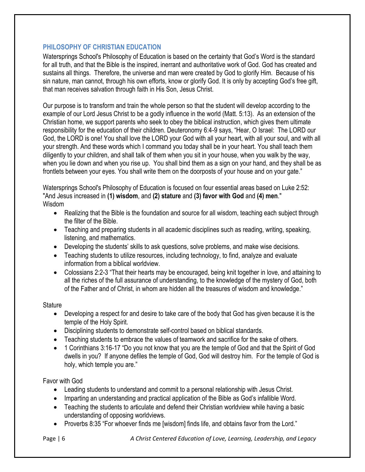## <span id="page-5-0"></span>**PHILOSOPHY OF CHRISTIAN EDUCATION**

Watersprings School's Philosophy of Education is based on the certainty that God's Word is the standard for all truth, and that the Bible is the inspired, inerrant and authoritative work of God. God has created and sustains all things. Therefore, the universe and man were created by God to glorify Him. Because of his sin nature, man cannot, through his own efforts, know or glorify God. It is only by accepting God's free gift, that man receives salvation through faith in His Son, Jesus Christ.

Our purpose is to transform and train the whole person so that the student will develop according to the example of our Lord Jesus Christ to be a godly influence in the world (Matt. 5:13). As an extension of the Christian home, we support parents who seek to obey the biblical instruction, which gives them ultimate responsibility for the education of their children. Deuteronomy 6:4-9 says, "Hear, O Israel: The LORD our God, the LORD is one! You shall love the LORD your God with all your heart, with all your soul, and with all your strength. And these words which I command you today shall be in your heart. You shall teach them diligently to your children, and shall talk of them when you sit in your house, when you walk by the way, when you lie down and when you rise up. You shall bind them as a sign on your hand, and they shall be as frontlets between your eyes. You shall write them on the doorposts of your house and on your gate."

Watersprings School's Philosophy of Education is focused on four essential areas based on Luke 2:52: "And Jesus increased in **(1) wisdom**, and **(2) stature** and **(3) favor with God** and **(4) men**." Wisdom

- Realizing that the Bible is the foundation and source for all wisdom, teaching each subject through the filter of the Bible.
- Teaching and preparing students in all academic disciplines such as reading, writing, speaking, listening, and mathematics.
- Developing the students' skills to ask questions, solve problems, and make wise decisions.
- Teaching students to utilize resources, including technology, to find, analyze and evaluate information from a biblical worldview.
- Colossians 2:2-3 "That their hearts may be encouraged, being knit together in love, and attaining to all the riches of the full assurance of understanding, to the knowledge of the mystery of God, both of the Father and of Christ, in whom are hidden all the treasures of wisdom and knowledge."

## **Stature**

- Developing a respect for and desire to take care of the body that God has given because it is the temple of the Holy Spirit.
- Disciplining students to demonstrate self-control based on biblical standards.
- Teaching students to embrace the values of teamwork and sacrifice for the sake of others.
- 1 Corinthians 3:16-17 "Do you not know that you are the temple of God and that the Spirit of God dwells in you? If anyone defiles the temple of God, God will destroy him. For the temple of God is holy, which temple you are."

# Favor with God

- Leading students to understand and commit to a personal relationship with Jesus Christ.
- Imparting an understanding and practical application of the Bible as God's infallible Word.
- Teaching the students to articulate and defend their Christian worldview while having a basic understanding of opposing worldviews.
- Proverbs 8:35 "For whoever finds me [wisdom] finds life, and obtains favor from the Lord."

Page | 6 *A Christ Centered Education of Love, Learning, Leadership, and Legacy*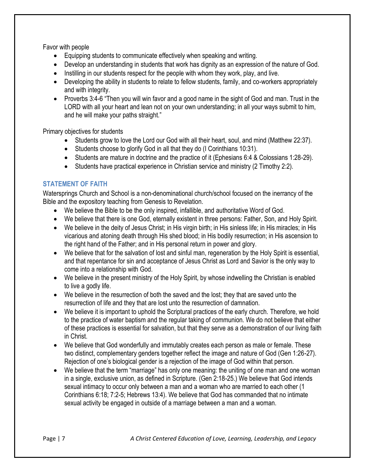Favor with people

- Equipping students to communicate effectively when speaking and writing.
- Develop an understanding in students that work has dignity as an expression of the nature of God.
- $\bullet$  Instilling in our students respect for the people with whom they work, play, and live.
- Developing the ability in students to relate to fellow students, family, and co-workers appropriately and with integrity.
- Proverbs 3:4-6 "Then you will win favor and a good name in the sight of God and man. Trust in the LORD with all your heart and lean not on your own understanding; in all your ways submit to him, and he will make your paths straight."

Primary objectives for students

- Students grow to love the Lord our God with all their heart, soul, and mind (Matthew 22:37).
- Students choose to glorify God in all that they do (I Corinthians 10:31).
- Students are mature in doctrine and the practice of it (Ephesians 6:4 & Colossians 1:28-29).
- Students have practical experience in Christian service and ministry (2 Timothy 2:2).

## <span id="page-6-0"></span>**STATEMENT OF FAITH**

Watersprings Church and School is a non-denominational church/school focused on the inerrancy of the Bible and the expository teaching from Genesis to Revelation.

- We believe the Bible to be the only inspired, infallible, and authoritative Word of God.
- We believe that there is one God, eternally existent in three persons: Father, Son, and Holy Spirit.
- We believe in the deity of Jesus Christ; in His virgin birth; in His sinless life; in His miracles; in His vicarious and atoning death through His shed blood; in His bodily resurrection; in His ascension to the right hand of the Father; and in His personal return in power and glory.
- We believe that for the salvation of lost and sinful man, regeneration by the Holy Spirit is essential, and that repentance for sin and acceptance of Jesus Christ as Lord and Savior is the only way to come into a relationship with God.
- We believe in the present ministry of the Holy Spirit, by whose indwelling the Christian is enabled to live a godly life.
- We believe in the resurrection of both the saved and the lost; they that are saved unto the resurrection of life and they that are lost unto the resurrection of damnation.
- We believe it is important to uphold the Scriptural practices of the early church. Therefore, we hold to the practice of water baptism and the regular taking of communion. We do not believe that either of these practices is essential for salvation, but that they serve as a demonstration of our living faith in Christ.
- We believe that God wonderfully and immutably creates each person as male or female. These two distinct, complementary genders together reflect the image and nature of God (Gen 1:26-27). Rejection of one's biological gender is a rejection of the image of God within that person.
- We believe that the term "marriage" has only one meaning: the uniting of one man and one woman in a single, exclusive union, as defined in Scripture. (Gen 2:18-25.) We believe that God intends sexual intimacy to occur only between a man and a woman who are married to each other (1 Corinthians 6:18; 7:2-5; Hebrews 13:4). We believe that God has commanded that no intimate sexual activity be engaged in outside of a marriage between a man and a woman.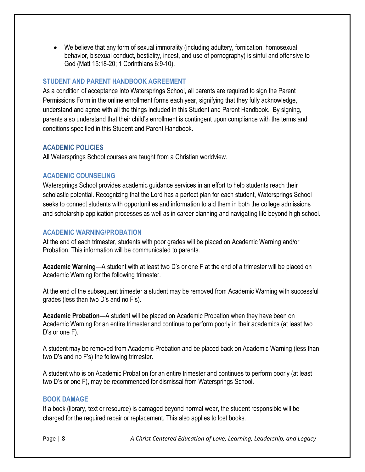We believe that any form of sexual immorality (including adultery, fornication, homosexual behavior, bisexual conduct, bestiality, incest, and use of pornography) is sinful and offensive to God (Matt 15:18-20; 1 Corinthians 6:9-10).

## <span id="page-7-0"></span>**STUDENT AND PARENT HANDBOOK AGREEMENT**

As a condition of acceptance into Watersprings School, all parents are required to sign the Parent Permissions Form in the online enrollment forms each year, signifying that they fully acknowledge, understand and agree with all the things included in this Student and Parent Handbook. By signing, parents also understand that their child's enrollment is contingent upon compliance with the terms and conditions specified in this Student and Parent Handbook.

## <span id="page-7-1"></span>**ACADEMIC POLICIES**

All Watersprings School courses are taught from a Christian worldview.

## <span id="page-7-2"></span>**ACADEMIC COUNSELING**

Watersprings School provides academic guidance services in an effort to help students reach their scholastic potential. Recognizing that the Lord has a perfect plan for each student, Watersprings School seeks to connect students with opportunities and information to aid them in both the college admissions and scholarship application processes as well as in career planning and navigating life beyond high school.

## <span id="page-7-3"></span>**ACADEMIC WARNING/PROBATION**

At the end of each trimester, students with poor grades will be placed on Academic Warning and/or Probation. This information will be communicated to parents.

**Academic Warning**—A student with at least two D's or one F at the end of a trimester will be placed on Academic Warning for the following trimester.

At the end of the subsequent trimester a student may be removed from Academic Warning with successful grades (less than two D's and no F's).

**Academic Probation**—A student will be placed on Academic Probation when they have been on Academic Warning for an entire trimester and continue to perform poorly in their academics (at least two D's or one F).

A student may be removed from Academic Probation and be placed back on Academic Warning (less than two D's and no F's) the following trimester.

A student who is on Academic Probation for an entire trimester and continues to perform poorly (at least two D's or one F), may be recommended for dismissal from Watersprings School.

## <span id="page-7-4"></span>**BOOK DAMAGE**

If a book (library, text or resource) is damaged beyond normal wear, the student responsible will be charged for the required repair or replacement. This also applies to lost books.

Page | 8 *A Christ Centered Education of Love, Learning, Leadership, and Legacy*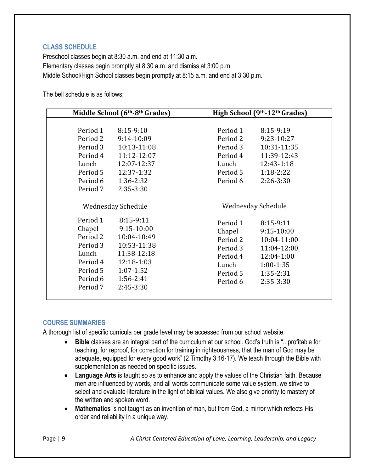## <span id="page-8-0"></span>**CLASS SCHEDULE**

Preschool classes begin at 8:30 a.m. and end at 11:30 a.m. Elementary classes begin promptly at 8:30 a.m. and dismiss at 3:00 p.m. Middle School/High School classes begin promptly at 8:15 a.m. and end at 3:30 p.m.

The bell schedule is as follows:

| Middle School (6th-8th Grades)                                                                                                                                                                                                                               | High School (9th-12th Grades)                                                                                                                                                                                                 |
|--------------------------------------------------------------------------------------------------------------------------------------------------------------------------------------------------------------------------------------------------------------|-------------------------------------------------------------------------------------------------------------------------------------------------------------------------------------------------------------------------------|
| Period 1<br>$8:15-9:10$<br>Period 2<br>9:14-10:09<br>Period 3<br>10:13-11:08<br>Period 4<br>11:12-12:07<br>12:07-12:37<br>Lunch<br>12:37-1:32<br>Period 5<br>Period 6<br>1:36-2:32<br>Period 7<br>2:35-3:30                                                  | Period 1<br>8:15-9:19<br>Period 2<br>9:23-10:27<br>Period 3<br>10:31-11:35<br>Period 4<br>11:39-12:43<br>Lunch<br>12:43-1:18<br>Period 5<br>$1:18-2:22$<br>Period 6<br>$2:26-3:30$                                            |
| Wednesday Schedule<br>Period 1<br>8:15-9:11<br>$9:15-10:00$<br>Chapel<br>Period 2<br>10:04-10:49<br>Period 3<br>10:53-11:38<br>11:38-12:18<br>Lunch<br>12:18-1:03<br>Period 4<br>Period 5<br>$1:07 - 1:52$<br>Period 6<br>1:56-2:41<br>2:45-3:30<br>Period 7 | Wednesday Schedule<br>Period 1<br>8:15-9:11<br>9:15-10:00<br>Chapel<br>Period 2<br>10:04-11:00<br>Period 3<br>11:04-12:00<br>Period 4<br>12:04-1:00<br>Lunch<br>$1:00-1:35$<br>Period 5<br>1:35-2:31<br>2:35-3:30<br>Period 6 |

## <span id="page-8-1"></span>**COURSE SUMMARIES**

A thorough list of specific curricula per grade level may be accessed from our school website.

- **Bible** classes are an integral part of the curriculum at our school. God's truth is "...profitable for teaching, for reproof, for correction for training in righteousness, that the man of God may be adequate, equipped for every good work" (2 Timothy 3:16-17). We teach through the Bible with supplementation as needed on specific issues.
- **Language Arts** is taught so as to enhance and apply the values of the Christian faith. Because men are influenced by words, and all words communicate some value system, we strive to select and evaluate literature in the light of biblical values. We also give priority to mastery of the written and spoken word.
- **Mathematics** is not taught as an invention of man, but from God, a mirror which reflects His order and reliability in a unique way.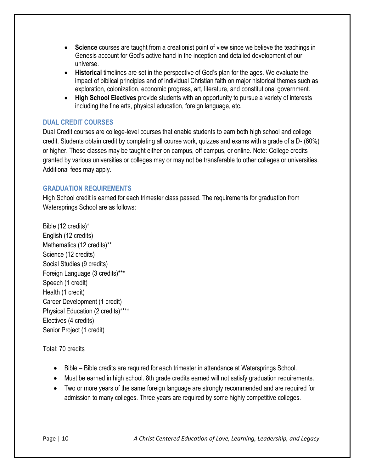- **Science** courses are taught from a creationist point of view since we believe the teachings in Genesis account for God's active hand in the inception and detailed development of our universe.
- **Historical** timelines are set in the perspective of God's plan for the ages. We evaluate the impact of biblical principles and of individual Christian faith on major historical themes such as exploration, colonization, economic progress, art, literature, and constitutional government.
- **High School Electives** provide students with an opportunity to pursue a variety of interests including the fine arts, physical education, foreign language, etc.

# <span id="page-9-0"></span>**DUAL CREDIT COURSES**

Dual Credit courses are college-level courses that enable students to earn both high school and college credit. Students obtain credit by completing all course work, quizzes and exams with a grade of a D- (60%) or higher. These classes may be taught either on campus, off campus, or online. Note: College credits granted by various universities or colleges may or may not be transferable to other colleges or universities. Additional fees may apply.

## <span id="page-9-1"></span>**GRADUATION REQUIREMENTS**

High School credit is earned for each trimester class passed. The requirements for graduation from Watersprings School are as follows:

Bible (12 credits)\* English (12 credits) Mathematics (12 credits)\*\* Science (12 credits) Social Studies (9 credits) Foreign Language (3 credits)\*\*\* Speech (1 credit) Health (1 credit) Career Development (1 credit) Physical Education (2 credits)\*\*\*\* Electives (4 credits) Senior Project (1 credit)

Total: 70 credits

- Bible Bible credits are required for each trimester in attendance at Watersprings School.
- Must be earned in high school. 8th grade credits earned will not satisfy graduation requirements.
- Two or more years of the same foreign language are strongly recommended and are required for admission to many colleges. Three years are required by some highly competitive colleges.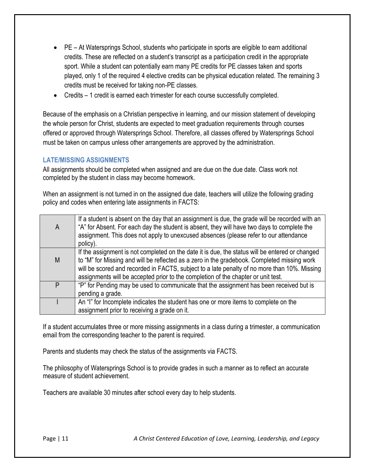- PE At Watersprings School, students who participate in sports are eligible to earn additional credits. These are reflected on a student's transcript as a participation credit in the appropriate sport. While a student can potentially earn many PE credits for PE classes taken and sports played, only 1 of the required 4 elective credits can be physical education related. The remaining 3 credits must be received for taking non-PE classes.
- Credits 1 credit is earned each trimester for each course successfully completed.

Because of the emphasis on a Christian perspective in learning, and our mission statement of developing the whole person for Christ, students are expected to meet graduation requirements through courses offered or approved through Watersprings School. Therefore, all classes offered by Watersprings School must be taken on campus unless other arrangements are approved by the administration.

# <span id="page-10-0"></span>**LATE/MISSING ASSIGNMENTS**

All assignments should be completed when assigned and are due on the due date. Class work not completed by the student in class may become homework.

When an assignment is not turned in on the assigned due date, teachers will utilize the following grading policy and codes when entering late assignments in FACTS:

| If a student is absent on the day that an assignment is due, the grade will be recorded with an<br>"A" for Absent. For each day the student is absent, they will have two days to complete the<br>assignment. This does not apply to unexcused absences (please refer to our attendance |
|-----------------------------------------------------------------------------------------------------------------------------------------------------------------------------------------------------------------------------------------------------------------------------------------|
| policy).                                                                                                                                                                                                                                                                                |
| If the assignment is not completed on the date it is due, the status will be entered or changed                                                                                                                                                                                         |
| to "M" for Missing and will be reflected as a zero in the gradebook. Completed missing work                                                                                                                                                                                             |
| will be scored and recorded in FACTS, subject to a late penalty of no more than 10%. Missing                                                                                                                                                                                            |
| assignments will be accepted prior to the completion of the chapter or unit test.                                                                                                                                                                                                       |
| "P" for Pending may be used to communicate that the assignment has been received but is                                                                                                                                                                                                 |
| pending a grade.                                                                                                                                                                                                                                                                        |
| An "I" for Incomplete indicates the student has one or more items to complete on the                                                                                                                                                                                                    |
| assignment prior to receiving a grade on it.                                                                                                                                                                                                                                            |
|                                                                                                                                                                                                                                                                                         |

If a student accumulates three or more missing assignments in a class during a trimester, a communication email from the corresponding teacher to the parent is required.

Parents and students may check the status of the assignments via FACTS.

The philosophy of Watersprings School is to provide grades in such a manner as to reflect an accurate measure of student achievement.

Teachers are available 30 minutes after school every day to help students.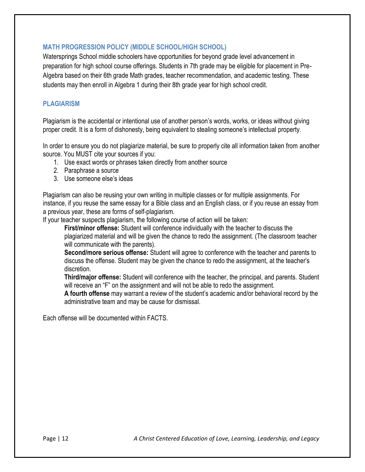## <span id="page-11-0"></span>**MATH PROGRESSION POLICY (MIDDLE SCHOOL/HIGH SCHOOL)**

Watersprings School middle schoolers have opportunities for beyond grade level advancement in preparation for high school course offerings. Students in 7th grade may be eligible for placement in Pre-Algebra based on their 6th grade Math grades, teacher recommendation, and academic testing. These students may then enroll in Algebra 1 during their 8th grade year for high school credit.

## <span id="page-11-1"></span>**PLAGIARISM**

Plagiarism is the accidental or intentional use of another person's words, works, or ideas without giving proper credit. It is a form of dishonesty, being equivalent to stealing someone's intellectual property.

In order to ensure you do not plagiarize material, be sure to properly cite all information taken from another source. You MUST cite your sources if you:

- 1. Use exact words or phrases taken directly from another source
- 2. Paraphrase a source
- 3. Use someone else's ideas

Plagiarism can also be reusing your own writing in multiple classes or for multiple assignments. For instance, if you reuse the same essay for a Bible class and an English class, or if you reuse an essay from a previous year, these are forms of self-plagiarism.

If your teacher suspects plagiarism, the following course of action will be taken:

**First/minor offense:** Student will conference individually with the teacher to discuss the plagiarized material and will be given the chance to redo the assignment. (The classroom teacher will communicate with the parents).

**Second/more serious offense:** Student will agree to conference with the teacher and parents to discuss the offense. Student may be given the chance to redo the assignment, at the teacher's discretion.

**Third/major offense:** Student will conference with the teacher, the principal, and parents. Student will receive an "F" on the assignment and will not be able to redo the assignment.

**A fourth offense** may warrant a review of the student's academic and/or behavioral record by the administrative team and may be cause for dismissal.

Each offense will be documented within FACTS.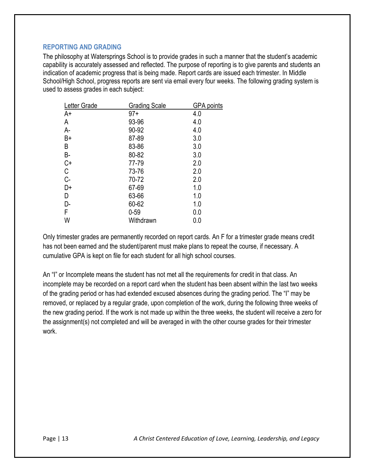#### <span id="page-12-0"></span>**REPORTING AND GRADING**

The philosophy at Watersprings School is to provide grades in such a manner that the student's academic capability is accurately assessed and reflected. The purpose of reporting is to give parents and students an indication of academic progress that is being made. Report cards are issued each trimester. In Middle School/High School, progress reports are sent via email every four weeks. The following grading system is used to assess grades in each subject:

| <b>Grading Scale</b> | GPA points |
|----------------------|------------|
| $97+$                | 4.0        |
| 93-96                | 4.0        |
| 90-92                | 4.0        |
| 87-89                | 3.0        |
| 83-86                | 3.0        |
| 80-82                | 3.0        |
| 77-79                | 2.0        |
| 73-76                | 2.0        |
| 70-72                | 2.0        |
| 67-69                | 1.0        |
| 63-66                | 1.0        |
| 60-62                | 1.0        |
| $0 - 59$             | 0.0        |
| Withdrawn            | 0.0        |
|                      |            |

Only trimester grades are permanently recorded on report cards. An F for a trimester grade means credit has not been earned and the student/parent must make plans to repeat the course, if necessary. A cumulative GPA is kept on file for each student for all high school courses.

An "I" or Incomplete means the student has not met all the requirements for credit in that class. An incomplete may be recorded on a report card when the student has been absent within the last two weeks of the grading period or has had extended excused absences during the grading period. The "I" may be removed, or replaced by a regular grade, upon completion of the work, during the following three weeks of the new grading period. If the work is not made up within the three weeks, the student will receive a zero for the assignment(s) not completed and will be averaged in with the other course grades for their trimester work.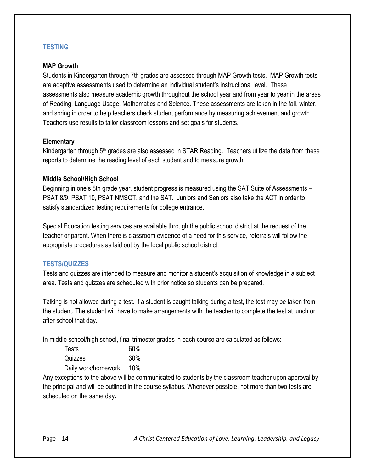## <span id="page-13-0"></span>**TESTING**

#### **MAP Growth**

Students in Kindergarten through 7th grades are assessed through MAP Growth tests. MAP Growth tests are adaptive assessments used to determine an individual student's instructional level. These assessments also measure academic growth throughout the school year and from year to year in the areas of Reading, Language Usage, Mathematics and Science. These assessments are taken in the fall, winter, and spring in order to help teachers check student performance by measuring achievement and growth. Teachers use results to tailor classroom lessons and set goals for students.

#### **Elementary**

Kindergarten through 5<sup>th</sup> grades are also assessed in STAR Reading. Teachers utilize the data from these reports to determine the reading level of each student and to measure growth.

#### **Middle School/High School**

Beginning in one's 8th grade year, student progress is measured using the SAT Suite of Assessments – PSAT 8/9, PSAT 10, PSAT NMSQT, and the SAT. Juniors and Seniors also take the ACT in order to satisfy standardized testing requirements for college entrance.

Special Education testing services are available through the public school district at the request of the teacher or parent. When there is classroom evidence of a need for this service, referrals will follow the appropriate procedures as laid out by the local public school district.

## <span id="page-13-1"></span>**TESTS/QUIZZES**

Tests and quizzes are intended to measure and monitor a student's acquisition of knowledge in a subject area. Tests and quizzes are scheduled with prior notice so students can be prepared.

Talking is not allowed during a test. If a student is caught talking during a test, the test may be taken from the student. The student will have to make arrangements with the teacher to complete the test at lunch or after school that day.

In middle school/high school, final trimester grades in each course are calculated as follows:

| Tests               | 60% |
|---------------------|-----|
| Quizzes             | 30% |
| Daily work/homework | 10% |

Any exceptions to the above will be communicated to students by the classroom teacher upon approval by the principal and will be outlined in the course syllabus. Whenever possible, not more than two tests are scheduled on the same day**.**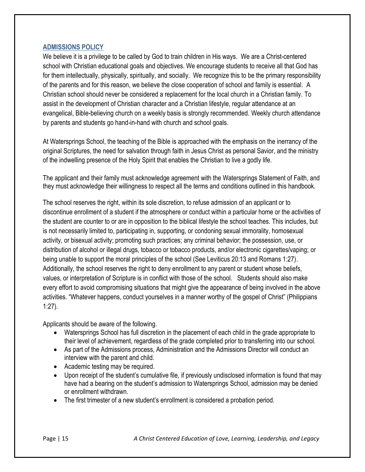## <span id="page-14-0"></span>**ADMISSIONS POLICY**

We believe it is a privilege to be called by God to train children in His ways. We are a Christ-centered school with Christian educational goals and objectives. We encourage students to receive all that God has for them intellectually, physically, spiritually, and socially. We recognize this to be the primary responsibility of the parents and for this reason, we believe the close cooperation of school and family is essential. A Christian school should never be considered a replacement for the local church in a Christian family. To assist in the development of Christian character and a Christian lifestyle, regular attendance at an evangelical, Bible-believing church on a weekly basis is strongly recommended. Weekly church attendance by parents and students go hand-in-hand with church and school goals.

At Watersprings School, the teaching of the Bible is approached with the emphasis on the inerrancy of the original Scriptures, the need for salvation through faith in Jesus Christ as personal Savior, and the ministry of the indwelling presence of the Holy Spirit that enables the Christian to live a godly life.

The applicant and their family must acknowledge agreement with the Watersprings Statement of Faith, and they must acknowledge their willingness to respect all the terms and conditions outlined in this handbook.

The school reserves the right, within its sole discretion, to refuse admission of an applicant or to discontinue enrollment of a student if the atmosphere or conduct within a particular home or the activities of the student are counter to or are in opposition to the biblical lifestyle the school teaches. This includes, but is not necessarily limited to, participating in, supporting, or condoning sexual immorality, homosexual activity, or bisexual activity; promoting such practices; any criminal behavior; the possession, use, or distribution of alcohol or illegal drugs, tobacco or tobacco products, and/or electronic cigarettes/vaping; or being unable to support the moral principles of the school (See Leviticus 20:13 and Romans 1:27). Additionally, the school reserves the right to deny enrollment to any parent or student whose beliefs, values, or interpretation of Scripture is in conflict with those of the school. Students should also make every effort to avoid compromising situations that might give the appearance of being involved in the above activities. "Whatever happens, conduct yourselves in a manner worthy of the gospel of Christ" (Philippians 1:27).

Applicants should be aware of the following.

- Watersprings School has full discretion in the placement of each child in the grade appropriate to their level of achievement, regardless of the grade completed prior to transferring into our school.
- As part of the Admissions process, Administration and the Admissions Director will conduct an interview with the parent and child.
- Academic testing may be required.
- Upon receipt of the student's cumulative file, if previously undisclosed information is found that may have had a bearing on the student's admission to Watersprings School, admission may be denied or enrollment withdrawn.
- The first trimester of a new student's enrollment is considered a probation period.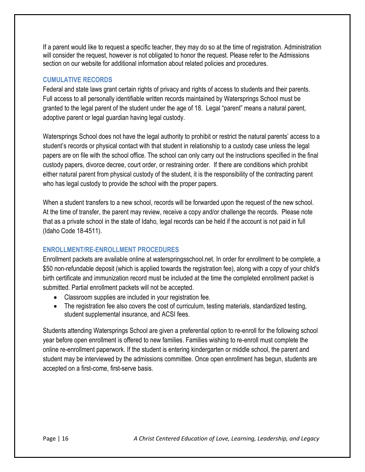If a parent would like to request a specific teacher, they may do so at the time of registration. Administration will consider the request, however is not obligated to honor the request. Please refer to the Admissions section on our website for additional information about related policies and procedures.

# <span id="page-15-0"></span>**CUMULATIVE RECORDS**

Federal and state laws grant certain rights of privacy and rights of access to students and their parents. Full access to all personally identifiable written records maintained by Watersprings School must be granted to the legal parent of the student under the age of 18. Legal "parent" means a natural parent, adoptive parent or legal guardian having legal custody.

Watersprings School does not have the legal authority to prohibit or restrict the natural parents' access to a student's records or physical contact with that student in relationship to a custody case unless the legal papers are on file with the school office. The school can only carry out the instructions specified in the final custody papers, divorce decree, court order, or restraining order. If there are conditions which prohibit either natural parent from physical custody of the student, it is the responsibility of the contracting parent who has legal custody to provide the school with the proper papers.

When a student transfers to a new school, records will be forwarded upon the request of the new school. At the time of transfer, the parent may review, receive a copy and/or challenge the records. Please note that as a private school in the state of Idaho, legal records can be held if the account is not paid in full (Idaho Code 18-4511).

# <span id="page-15-1"></span>**ENROLLMENT/RE-ENROLLMENT PROCEDURES**

Enrollment packets are available online at waterspringsschool.net. In order for enrollment to be complete, a \$50 non-refundable deposit (which is applied towards the registration fee), along with a copy of your child's birth certificate and immunization record must be included at the time the completed enrollment packet is submitted. Partial enrollment packets will not be accepted.

- Classroom supplies are included in your registration fee.
- The registration fee also covers the cost of curriculum, testing materials, standardized testing, student supplemental insurance, and ACSI fees.

Students attending Watersprings School are given a preferential option to re-enroll for the following school year before open enrollment is offered to new families. Families wishing to re-enroll must complete the online re-enrollment paperwork. If the student is entering kindergarten or middle school, the parent and student may be interviewed by the admissions committee. Once open enrollment has begun, students are accepted on a first-come, first-serve basis.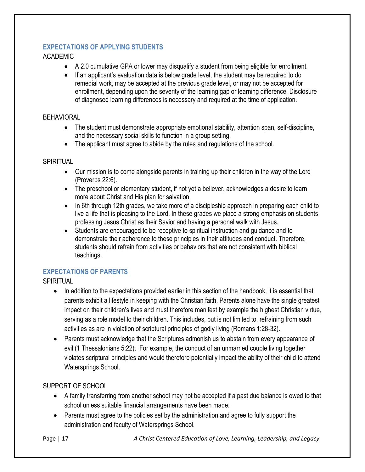# <span id="page-16-0"></span>**EXPECTATIONS OF APPLYING STUDENTS**

## ACADEMIC

- A 2.0 cumulative GPA or lower may disqualify a student from being eligible for enrollment.
- If an applicant's evaluation data is below grade level, the student may be required to do remedial work, may be accepted at the previous grade level, or may not be accepted for enrollment, depending upon the severity of the learning gap or learning difference. Disclosure of diagnosed learning differences is necessary and required at the time of application.

#### **BEHAVIORAL**

- The student must demonstrate appropriate emotional stability, attention span, self-discipline, and the necessary social skills to function in a group setting.
- The applicant must agree to abide by the rules and regulations of the school.

## SPIRITUAL

- Our mission is to come alongside parents in training up their children in the way of the Lord (Proverbs 22:6).
- The preschool or elementary student, if not yet a believer, acknowledges a desire to learn more about Christ and His plan for salvation.
- In 6th through 12th grades, we take more of a discipleship approach in preparing each child to live a life that is pleasing to the Lord. In these grades we place a strong emphasis on students professing Jesus Christ as their Savior and having a personal walk with Jesus.
- Students are encouraged to be receptive to spiritual instruction and guidance and to demonstrate their adherence to these principles in their attitudes and conduct. Therefore, students should refrain from activities or behaviors that are not consistent with biblical teachings.

# <span id="page-16-1"></span>**EXPECTATIONS OF PARENTS**

SPIRITUAL

- In addition to the expectations provided earlier in this section of the handbook, it is essential that parents exhibit a lifestyle in keeping with the Christian faith. Parents alone have the single greatest impact on their children's lives and must therefore manifest by example the highest Christian virtue, serving as a role model to their children. This includes, but is not limited to, refraining from such activities as are in violation of scriptural principles of godly living (Romans 1:28-32).
- Parents must acknowledge that the Scriptures admonish us to abstain from every appearance of evil (1 Thessalonians 5:22). For example, the conduct of an unmarried couple living together violates scriptural principles and would therefore potentially impact the ability of their child to attend Watersprings School.

# SUPPORT OF SCHOOL

- A family transferring from another school may not be accepted if a past due balance is owed to that school unless suitable financial arrangements have been made.
- Parents must agree to the policies set by the administration and agree to fully support the administration and faculty of Watersprings School.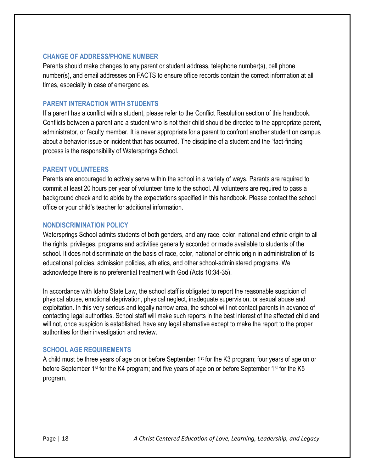#### <span id="page-17-0"></span>**CHANGE OF ADDRESS/PHONE NUMBER**

Parents should make changes to any parent or student address, telephone number(s), cell phone number(s), and email addresses on FACTS to ensure office records contain the correct information at all times, especially in case of emergencies.

#### <span id="page-17-1"></span>**PARENT INTERACTION WITH STUDENTS**

If a parent has a conflict with a student, please refer to the Conflict Resolution section of this handbook. Conflicts between a parent and a student who is not their child should be directed to the appropriate parent, administrator, or faculty member. It is never appropriate for a parent to confront another student on campus about a behavior issue or incident that has occurred. The discipline of a student and the "fact-finding" process is the responsibility of Watersprings School.

#### <span id="page-17-2"></span>**PARENT VOLUNTEERS**

Parents are encouraged to actively serve within the school in a variety of ways. Parents are required to commit at least 20 hours per year of volunteer time to the school. All volunteers are required to pass a background check and to abide by the expectations specified in this handbook. Please contact the school office or your child's teacher for additional information.

#### <span id="page-17-3"></span>**NONDISCRIMINATION POLICY**

Watersprings School admits students of both genders, and any race, color, national and ethnic origin to all the rights, privileges, programs and activities generally accorded or made available to students of the school. It does not discriminate on the basis of race, color, national or ethnic origin in administration of its educational policies, admission policies, athletics, and other school-administered programs. We acknowledge there is no preferential treatment with God (Acts 10:34-35).

In accordance with Idaho State Law, the school staff is obligated to report the reasonable suspicion of physical abuse, emotional deprivation, physical neglect, inadequate supervision, or sexual abuse and exploitation. In this very serious and legally narrow area, the school will not contact parents in advance of contacting legal authorities. School staff will make such reports in the best interest of the affected child and will not, once suspicion is established, have any legal alternative except to make the report to the proper authorities for their investigation and review.

#### <span id="page-17-4"></span>**SCHOOL AGE REQUIREMENTS**

A child must be three years of age on or before September 1<sup>st</sup> for the K3 program; four years of age on or before September 1<sup>st</sup> for the K4 program; and five years of age on or before September 1<sup>st</sup> for the K5 program.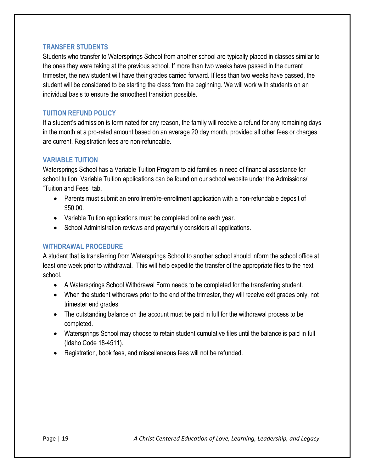#### <span id="page-18-0"></span>**TRANSFER STUDENTS**

Students who transfer to Watersprings School from another school are typically placed in classes similar to the ones they were taking at the previous school. If more than two weeks have passed in the current trimester, the new student will have their grades carried forward. If less than two weeks have passed, the student will be considered to be starting the class from the beginning. We will work with students on an individual basis to ensure the smoothest transition possible.

## <span id="page-18-1"></span>**TUITION REFUND POLICY**

If a student's admission is terminated for any reason, the family will receive a refund for any remaining days in the month at a pro-rated amount based on an average 20 day month, provided all other fees or charges are current. Registration fees are non-refundable.

## <span id="page-18-2"></span>**VARIABLE TUITION**

Watersprings School has a Variable Tuition Program to aid families in need of financial assistance for school tuition. Variable Tuition applications can be found on our school website under the Admissions/ "Tuition and Fees" tab.

- Parents must submit an enrollment/re-enrollment application with a non-refundable deposit of \$50.00.
- Variable Tuition applications must be completed online each year.
- School Administration reviews and prayerfully considers all applications.

## <span id="page-18-3"></span>**WITHDRAWAL PROCEDURE**

A student that is transferring from Watersprings School to another school should inform the school office at least one week prior to withdrawal. This will help expedite the transfer of the appropriate files to the next school.

- A Watersprings School Withdrawal Form needs to be completed for the transferring student.
- When the student withdraws prior to the end of the trimester, they will receive exit grades only, not trimester end grades.
- The outstanding balance on the account must be paid in full for the withdrawal process to be completed.
- Watersprings School may choose to retain student cumulative files until the balance is paid in full (Idaho Code 18-4511).
- Registration, book fees, and miscellaneous fees will not be refunded.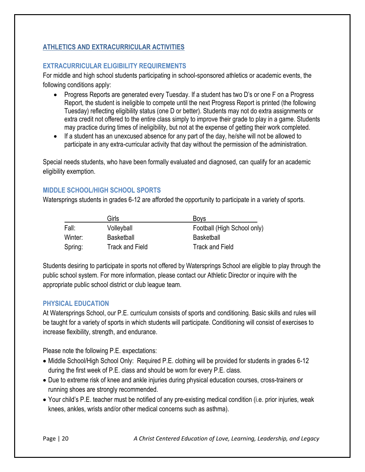# <span id="page-19-0"></span>**ATHLETICS AND EXTRACURRICULAR ACTIVITIES**

## <span id="page-19-1"></span>**EXTRACURRICULAR ELIGIBILITY REQUIREMENTS**

For middle and high school students participating in school-sponsored athletics or academic events, the following conditions apply:

- Progress Reports are generated every Tuesday. If a student has two D's or one F on a Progress Report, the student is ineligible to compete until the next Progress Report is printed (the following Tuesday) reflecting eligibility status (one D or better). Students may not do extra assignments or extra credit not offered to the entire class simply to improve their grade to play in a game. Students may practice during times of ineligibility, but not at the expense of getting their work completed.
- If a student has an unexcused absence for any part of the day, he/she will not be allowed to participate in any extra-curricular activity that day without the permission of the administration.

Special needs students, who have been formally evaluated and diagnosed, can qualify for an academic eligibility exemption.

# <span id="page-19-2"></span>**MIDDLE SCHOOL/HIGH SCHOOL SPORTS**

Watersprings students in grades 6-12 are afforded the opportunity to participate in a variety of sports.

|         | Girls                  | <b>Boys</b>                 |
|---------|------------------------|-----------------------------|
| Fall:   | Volleyball             | Football (High School only) |
| Winter: | <b>Basketball</b>      | <b>Basketball</b>           |
| Spring: | <b>Track and Field</b> | <b>Track and Field</b>      |

Students desiring to participate in sports not offered by Watersprings School are eligible to play through the public school system. For more information, please contact our Athletic Director or inquire with the appropriate public school district or club league team.

## <span id="page-19-3"></span>**PHYSICAL EDUCATION**

At Watersprings School, our P.E. curriculum consists of sports and conditioning. Basic skills and rules will be taught for a variety of sports in which students will participate. Conditioning will consist of exercises to increase flexibility, strength, and endurance.

Please note the following P.E. expectations:

- Middle School/High School Only: Required P.E. clothing will be provided for students in grades 6-12 during the first week of P.E. class and should be worn for every P.E. class.
- Due to extreme risk of knee and ankle injuries during physical education courses, cross-trainers or running shoes are strongly recommended.
- Your child's P.E. teacher must be notified of any pre-existing medical condition (i.e. prior injuries, weak knees, ankles, wrists and/or other medical concerns such as asthma).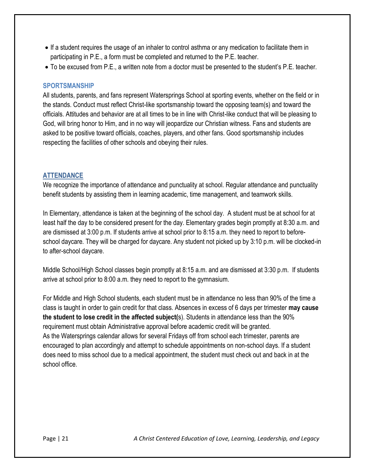- If a student requires the usage of an inhaler to control asthma or any medication to facilitate them in participating in P.E., a form must be completed and returned to the P.E. teacher.
- To be excused from P.E., a written note from a doctor must be presented to the student's P.E. teacher.

#### <span id="page-20-0"></span>**SPORTSMANSHIP**

All students, parents, and fans represent Watersprings School at sporting events, whether on the field or in the stands. Conduct must reflect Christ-like sportsmanship toward the opposing team(s) and toward the officials. Attitudes and behavior are at all times to be in line with Christ-like conduct that will be pleasing to God, will bring honor to Him, and in no way will jeopardize our Christian witness. Fans and students are asked to be positive toward officials, coaches, players, and other fans. Good sportsmanship includes respecting the facilities of other schools and obeying their rules.

#### <span id="page-20-1"></span>**ATTENDANCE**

We recognize the importance of attendance and punctuality at school. Regular attendance and punctuality benefit students by assisting them in learning academic, time management, and teamwork skills.

In Elementary, attendance is taken at the beginning of the school day. A student must be at school for at least half the day to be considered present for the day. Elementary grades begin promptly at 8:30 a.m. and are dismissed at 3:00 p.m. If students arrive at school prior to 8:15 a.m. they need to report to beforeschool daycare. They will be charged for daycare. Any student not picked up by 3:10 p.m. will be clocked-in to after-school daycare.

Middle School/High School classes begin promptly at 8:15 a.m. and are dismissed at 3:30 p.m. If students arrive at school prior to 8:00 a.m. they need to report to the gymnasium.

For Middle and High School students, each student must be in attendance no less than 90% of the time a class is taught in order to gain credit for that class. Absences in excess of 6 days per trimester **may cause the student to lose credit in the affected subject(**s). Students in attendance less than the 90% requirement must obtain Administrative approval before academic credit will be granted. As the Watersprings calendar allows for several Fridays off from school each trimester, parents are encouraged to plan accordingly and attempt to schedule appointments on non-school days. If a student does need to miss school due to a medical appointment, the student must check out and back in at the school office.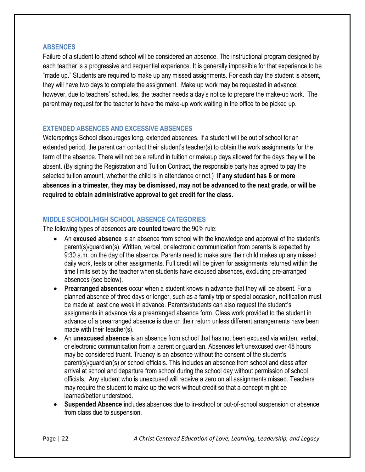## <span id="page-21-0"></span>**ABSENCES**

Failure of a student to attend school will be considered an absence. The instructional program designed by each teacher is a progressive and sequential experience. It is generally impossible for that experience to be "made up." Students are required to make up any missed assignments. For each day the student is absent, they will have two days to complete the assignment. Make up work may be requested in advance; however, due to teachers' schedules, the teacher needs a day's notice to prepare the make-up work. The parent may request for the teacher to have the make-up work waiting in the office to be picked up.

#### <span id="page-21-1"></span>**EXTENDED ABSENCES AND EXCESSIVE ABSENCES**

Watersprings School discourages long, extended absences. If a student will be out of school for an extended period, the parent can contact their student's teacher(s) to obtain the work assignments for the term of the absence. There will not be a refund in tuition or makeup days allowed for the days they will be absent. (By signing the Registration and Tuition Contract, the responsible party has agreed to pay the selected tuition amount, whether the child is in attendance or not.) **If any student has 6 or more absences in a trimester, they may be dismissed, may not be advanced to the next grade, or will be required to obtain administrative approval to get credit for the class.**

## <span id="page-21-2"></span>**MIDDLE SCHOOL/HIGH SCHOOL ABSENCE CATEGORIES**

The following types of absences **are counted** toward the 90% rule:

- An **excused absence** is an absence from school with the knowledge and approval of the student's parent(s)/guardian(s). Written, verbal, or electronic communication from parents is expected by 9:30 a.m. on the day of the absence. Parents need to make sure their child makes up any missed daily work, tests or other assignments. Full credit will be given for assignments returned within the time limits set by the teacher when students have excused absences, excluding pre-arranged absences (see below).
- **Prearranged absences** occur when a student knows in advance that they will be absent. For a planned absence of three days or longer, such as a family trip or special occasion, notification must be made at least one week in advance. Parents/students can also request the student's assignments in advance via a prearranged absence form. Class work provided to the student in advance of a prearranged absence is due on their return unless different arrangements have been made with their teacher(s).
- An **unexcused absence** is an absence from school that has not been excused via written, verbal, or electronic communication from a parent or guardian. Absences left unexcused over 48 hours may be considered truant. Truancy is an absence without the consent of the student's parent(s)/guardian(s) or school officials. This includes an absence from school and class after arrival at school and departure from school during the school day without permission of school officials. Any student who is unexcused will receive a zero on all assignments missed. Teachers may require the student to make up the work without credit so that a concept might be learned/better understood.
- **Suspended Absence** includes absences due to in-school or out-of-school suspension or absence from class due to suspension.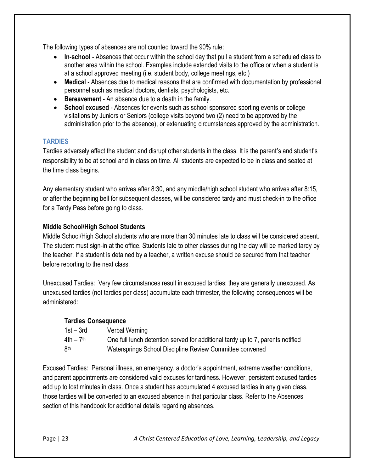The following types of absences are not counted toward the 90% rule:

- In-school Absences that occur within the school day that pull a student from a scheduled class to another area within the school. Examples include extended visits to the office or when a student is at a school approved meeting (i.e. student body, college meetings, etc.)
- Medical Absences due to medical reasons that are confirmed with documentation by professional personnel such as medical doctors, dentists, psychologists, etc.
- **Bereavement** An absence due to a death in the family.
- **School excused** Absences for events such as school sponsored sporting events or college visitations by Juniors or Seniors (college visits beyond two (2) need to be approved by the administration prior to the absence), or extenuating circumstances approved by the administration.

## <span id="page-22-0"></span>**TARDIES**

Tardies adversely affect the student and disrupt other students in the class. It is the parent's and student's responsibility to be at school and in class on time. All students are expected to be in class and seated at the time class begins.

Any elementary student who arrives after 8:30, and any middle/high school student who arrives after 8:15, or after the beginning bell for subsequent classes, will be considered tardy and must check-in to the office for a Tardy Pass before going to class.

## **Middle School/High School Students**

Middle School/High School students who are more than 30 minutes late to class will be considered absent. The student must sign-in at the office. Students late to other classes during the day will be marked tardy by the teacher. If a student is detained by a teacher, a written excuse should be secured from that teacher before reporting to the next class.

Unexcused Tardies: Very few circumstances result in excused tardies; they are generally unexcused. As unexcused tardies (not tardies per class) accumulate each trimester, the following consequences will be administered:

## **Tardies Consequence**

| $1st - 3rd$           | Verbal Warning                                                                 |
|-----------------------|--------------------------------------------------------------------------------|
| 4th – 7 <sup>th</sup> | One full lunch detention served for additional tardy up to 7, parents notified |
| 8th                   | Watersprings School Discipline Review Committee convened                       |

Excused Tardies: Personal illness, an emergency, a doctor's appointment, extreme weather conditions, and parent appointments are considered valid excuses for tardiness. However, persistent excused tardies add up to lost minutes in class. Once a student has accumulated 4 excused tardies in any given class, those tardies will be converted to an excused absence in that particular class. Refer to the Absences section of this handbook for additional details regarding absences.

Page | 23 *A Christ Centered Education of Love, Learning, Leadership, and Legacy*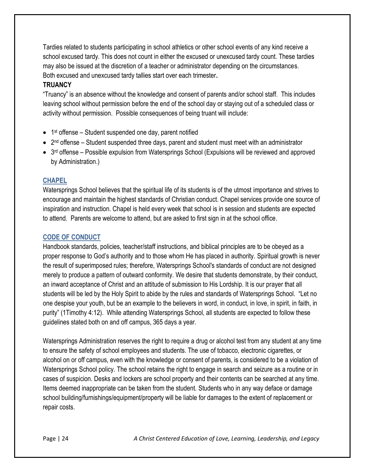Tardies related to students participating in school athletics or other school events of any kind receive a school excused tardy. This does not count in either the excused or unexcused tardy count. These tardies may also be issued at the discretion of a teacher or administrator depending on the circumstances. Both excused and unexcused tardy tallies start over each trimester**.**

## <span id="page-23-0"></span>**TRUANCY**

"Truancy" is an absence without the knowledge and consent of parents and/or school staff. This includes leaving school without permission before the end of the school day or staying out of a scheduled class or activity without permission. Possible consequences of being truant will include:

- 1<sup>st</sup> offense Student suspended one day, parent notified
- $\bullet$  2<sup>nd</sup> offense Student suspended three days, parent and student must meet with an administrator
- 3<sup>rd</sup> offense Possible expulsion from Watersprings School (Expulsions will be reviewed and approved by Administration.)

## <span id="page-23-1"></span>**CHAPEL**

Watersprings School believes that the spiritual life of its students is of the utmost importance and strives to encourage and maintain the highest standards of Christian conduct. Chapel services provide one source of inspiration and instruction. Chapel is held every week that school is in session and students are expected to attend. Parents are welcome to attend, but are asked to first sign in at the school office.

## <span id="page-23-2"></span>**CODE OF CONDUCT**

Handbook standards, policies, teacher/staff instructions, and biblical principles are to be obeyed as a proper response to God's authority and to those whom He has placed in authority. Spiritual growth is never the result of superimposed rules; therefore, Watersprings School's standards of conduct are not designed merely to produce a pattern of outward conformity. We desire that students demonstrate, by their conduct, an inward acceptance of Christ and an attitude of submission to His Lordship. It is our prayer that all students will be led by the Holy Spirit to abide by the rules and standards of Watersprings School. "Let no one despise your youth, but be an example to the believers in word, in conduct, in love, in spirit, in faith, in purity" (1Timothy 4:12). While attending Watersprings School, all students are expected to follow these guidelines stated both on and off campus, 365 days a year.

Watersprings Administration reserves the right to require a drug or alcohol test from any student at any time to ensure the safety of school employees and students. The use of tobacco, electronic cigarettes, or alcohol on or off campus, even with the knowledge or consent of parents, is considered to be a violation of Watersprings School policy. The school retains the right to engage in search and seizure as a routine or in cases of suspicion. Desks and lockers are school property and their contents can be searched at any time. Items deemed inappropriate can be taken from the student. Students who in any way deface or damage school building/furnishings/equipment/property will be liable for damages to the extent of replacement or repair costs.

Page | 24 *A Christ Centered Education of Love, Learning, Leadership, and Legacy*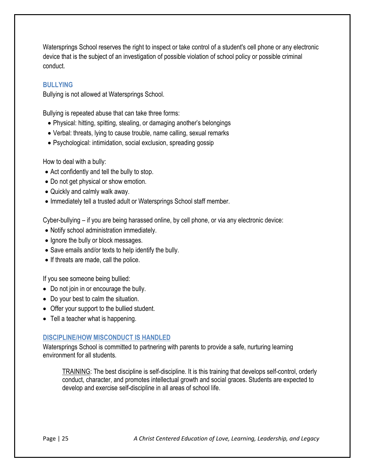Watersprings School reserves the right to inspect or take control of a student's cell phone or any electronic device that is the subject of an investigation of possible violation of school policy or possible criminal conduct.

## <span id="page-24-0"></span>**BULLYING**

Bullying is not allowed at Watersprings School.

Bullying is repeated abuse that can take three forms:

- Physical: hitting, spitting, stealing, or damaging another's belongings
- Verbal: threats, lying to cause trouble, name calling, sexual remarks
- Psychological: intimidation, social exclusion, spreading gossip

How to deal with a bully:

- Act confidently and tell the bully to stop.
- Do not get physical or show emotion.
- Quickly and calmly walk away.
- Immediately tell a trusted adult or Watersprings School staff member.

Cyber-bullying – if you are being harassed online, by cell phone, or via any electronic device:

- Notify school administration immediately.
- Ignore the bully or block messages.
- Save emails and/or texts to help identify the bully.
- If threats are made, call the police.

If you see someone being bullied:

- Do not join in or encourage the bully.
- Do your best to calm the situation.
- Offer your support to the bullied student.
- Tell a teacher what is happening.

## <span id="page-24-1"></span>**DISCIPLINE/HOW MISCONDUCT IS HANDLED**

Watersprings School is committed to partnering with parents to provide a safe, nurturing learning environment for all students.

TRAINING: The best discipline is self-discipline. It is this training that develops self-control, orderly conduct, character, and promotes intellectual growth and social graces. Students are expected to develop and exercise self-discipline in all areas of school life.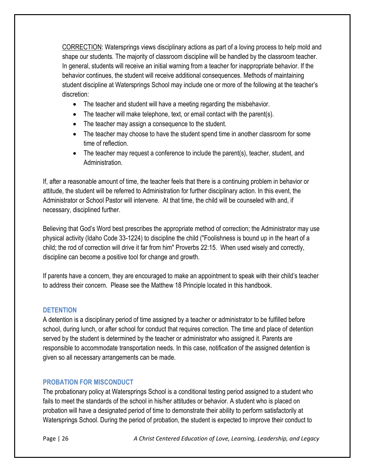CORRECTION: Watersprings views disciplinary actions as part of a loving process to help mold and shape our students. The majority of classroom discipline will be handled by the classroom teacher. In general, students will receive an initial warning from a teacher for inappropriate behavior. If the behavior continues, the student will receive additional consequences. Methods of maintaining student discipline at Watersprings School may include one or more of the following at the teacher's discretion:

- The teacher and student will have a meeting regarding the misbehavior.
- The teacher will make telephone, text, or email contact with the parent(s).
- The teacher may assign a consequence to the student.
- The teacher may choose to have the student spend time in another classroom for some time of reflection.
- The teacher may request a conference to include the parent(s), teacher, student, and Administration.

If, after a reasonable amount of time, the teacher feels that there is a continuing problem in behavior or attitude, the student will be referred to Administration for further disciplinary action. In this event, the Administrator or School Pastor will intervene. At that time, the child will be counseled with and, if necessary, disciplined further.

Believing that God's Word best prescribes the appropriate method of correction; the Administrator may use physical activity (Idaho Code 33-1224) to discipline the child ("Foolishness is bound up in the heart of a child; the rod of correction will drive it far from him" Proverbs 22:15. When used wisely and correctly, discipline can become a positive tool for change and growth.

If parents have a concern, they are encouraged to make an appointment to speak with their child's teacher to address their concern. Please see the Matthew 18 Principle located in this handbook.

## <span id="page-25-0"></span>**DETENTION**

A detention is a disciplinary period of time assigned by a teacher or administrator to be fulfilled before school, during lunch, or after school for conduct that requires correction. The time and place of detention served by the student is determined by the teacher or administrator who assigned it. Parents are responsible to accommodate transportation needs. In this case, notification of the assigned detention is given so all necessary arrangements can be made.

## <span id="page-25-1"></span>**PROBATION FOR MISCONDUCT**

The probationary policy at Watersprings School is a conditional testing period assigned to a student who fails to meet the standards of the school in his/her attitudes or behavior. A student who is placed on probation will have a designated period of time to demonstrate their ability to perform satisfactorily at Watersprings School. During the period of probation, the student is expected to improve their conduct to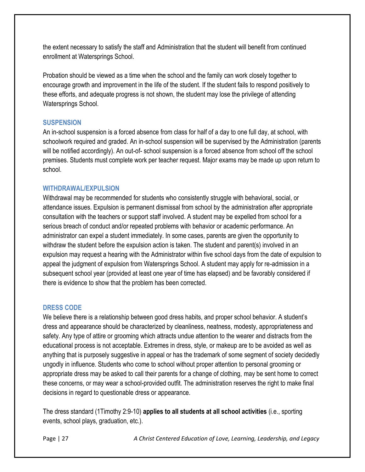the extent necessary to satisfy the staff and Administration that the student will benefit from continued enrollment at Watersprings School.

Probation should be viewed as a time when the school and the family can work closely together to encourage growth and improvement in the life of the student. If the student fails to respond positively to these efforts, and adequate progress is not shown, the student may lose the privilege of attending Watersprings School.

## <span id="page-26-0"></span>**SUSPENSION**

An in-school suspension is a forced absence from class for half of a day to one full day, at school, with schoolwork required and graded. An in-school suspension will be supervised by the Administration (parents will be notified accordingly). An out-of- school suspension is a forced absence from school off the school premises. Students must complete work per teacher request. Major exams may be made up upon return to school.

## <span id="page-26-1"></span>**WITHDRAWAL/EXPULSION**

Withdrawal may be recommended for students who consistently struggle with behavioral, social, or attendance issues. Expulsion is permanent dismissal from school by the administration after appropriate consultation with the teachers or support staff involved. A student may be expelled from school for a serious breach of conduct and/or repeated problems with behavior or academic performance. An administrator can expel a student immediately. In some cases, parents are given the opportunity to withdraw the student before the expulsion action is taken. The student and parent(s) involved in an expulsion may request a hearing with the Administrator within five school days from the date of expulsion to appeal the judgment of expulsion from Watersprings School. A student may apply for re-admission in a subsequent school year (provided at least one year of time has elapsed) and be favorably considered if there is evidence to show that the problem has been corrected.

# <span id="page-26-2"></span>**DRESS CODE**

We believe there is a relationship between good dress habits, and proper school behavior. A student's dress and appearance should be characterized by cleanliness, neatness, modesty, appropriateness and safety. Any type of attire or grooming which attracts undue attention to the wearer and distracts from the educational process is not acceptable. Extremes in dress, style, or makeup are to be avoided as well as anything that is purposely suggestive in appeal or has the trademark of some segment of society decidedly ungodly in influence. Students who come to school without proper attention to personal grooming or appropriate dress may be asked to call their parents for a change of clothing, may be sent home to correct these concerns, or may wear a school-provided outfit. The administration reserves the right to make final decisions in regard to questionable dress or appearance.

The dress standard (1Timothy 2:9-10) **applies to all students at all school activities** (i.e., sporting events, school plays, graduation, etc.).

Page | 27 *A Christ Centered Education of Love, Learning, Leadership, and Legacy*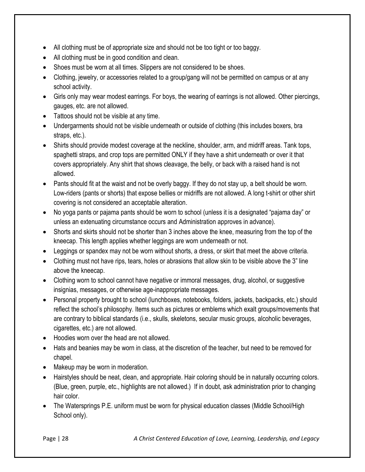- All clothing must be of appropriate size and should not be too tight or too baggy.
- All clothing must be in good condition and clean.
- Shoes must be worn at all times. Slippers are not considered to be shoes.
- Clothing, jewelry, or accessories related to a group/gang will not be permitted on campus or at any school activity.
- Girls only may wear modest earrings. For boys, the wearing of earrings is not allowed. Other piercings, gauges, etc. are not allowed.
- Tattoos should not be visible at any time.
- Undergarments should not be visible underneath or outside of clothing (this includes boxers, bra straps, etc.).
- Shirts should provide modest coverage at the neckline, shoulder, arm, and midriff areas. Tank tops, spaghetti straps, and crop tops are permitted ONLY if they have a shirt underneath or over it that covers appropriately. Any shirt that shows cleavage, the belly, or back with a raised hand is not allowed.
- Pants should fit at the waist and not be overly baggy. If they do not stay up, a belt should be worn. Low-riders (pants or shorts) that expose bellies or midriffs are not allowed. A long t-shirt or other shirt covering is not considered an acceptable alteration.
- No yoga pants or pajama pants should be worn to school (unless it is a designated "pajama day" or unless an extenuating circumstance occurs and Administration approves in advance).
- Shorts and skirts should not be shorter than 3 inches above the knee, measuring from the top of the kneecap. This length applies whether leggings are worn underneath or not.
- Leggings or spandex may not be worn without shorts, a dress, or skirt that meet the above criteria.
- Clothing must not have rips, tears, holes or abrasions that allow skin to be visible above the 3" line above the kneecap.
- Clothing worn to school cannot have negative or immoral messages, drug, alcohol, or suggestive insignias, messages, or otherwise age-inappropriate messages.
- Personal property brought to school (lunchboxes, notebooks, folders, jackets, backpacks, etc.) should reflect the school's philosophy. Items such as pictures or emblems which exalt groups/movements that are contrary to biblical standards (i.e., skulls, skeletons, secular music groups, alcoholic beverages, cigarettes, etc.) are not allowed.
- Hoodies worn over the head are not allowed.
- Hats and beanies may be worn in class, at the discretion of the teacher, but need to be removed for chapel.
- Makeup may be worn in moderation.
- Hairstyles should be neat, clean, and appropriate. Hair coloring should be in naturally occurring colors. (Blue, green, purple, etc., highlights are not allowed.) If in doubt, ask administration prior to changing hair color.
- The Watersprings P.E. uniform must be worn for physical education classes (Middle School/High School only).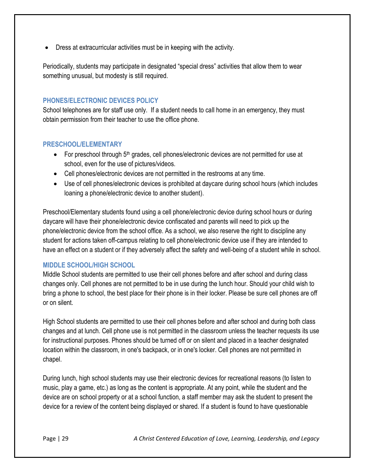Dress at extracurricular activities must be in keeping with the activity.

Periodically, students may participate in designated "special dress" activities that allow them to wear something unusual, but modesty is still required.

## <span id="page-28-0"></span>**PHONES/ELECTRONIC DEVICES POLICY**

School telephones are for staff use only. If a student needs to call home in an emergency, they must obtain permission from their teacher to use the office phone.

## <span id="page-28-1"></span>**PRESCHOOL/ELEMENTARY**

- For preschool through  $5<sup>th</sup>$  grades, cell phones/electronic devices are not permitted for use at school, even for the use of pictures/videos.
- Cell phones/electronic devices are not permitted in the restrooms at any time.
- Use of cell phones/electronic devices is prohibited at daycare during school hours (which includes loaning a phone/electronic device to another student).

Preschool/Elementary students found using a cell phone/electronic device during school hours or during daycare will have their phone/electronic device confiscated and parents will need to pick up the phone/electronic device from the school office. As a school, we also reserve the right to discipline any student for actions taken off-campus relating to cell phone/electronic device use if they are intended to have an effect on a student or if they adversely affect the safety and well-being of a student while in school.

# <span id="page-28-2"></span>**MIDDLE SCHOOL/HIGH SCHOOL**

Middle School students are permitted to use their cell phones before and after school and during class changes only. Cell phones are not permitted to be in use during the lunch hour. Should your child wish to bring a phone to school, the best place for their phone is in their locker. Please be sure cell phones are off or on silent.

High School students are permitted to use their cell phones before and after school and during both class changes and at lunch. Cell phone use is not permitted in the classroom unless the teacher requests its use for instructional purposes. Phones should be turned off or on silent and placed in a teacher designated location within the classroom, in one's backpack, or in one's locker. Cell phones are not permitted in chapel.

During lunch, high school students may use their electronic devices for recreational reasons (to listen to music, play a game, etc.) as long as the content is appropriate. At any point, while the student and the device are on school property or at a school function, a staff member may ask the student to present the device for a review of the content being displayed or shared. If a student is found to have questionable

Page | 29 *A Christ Centered Education of Love, Learning, Leadership, and Legacy*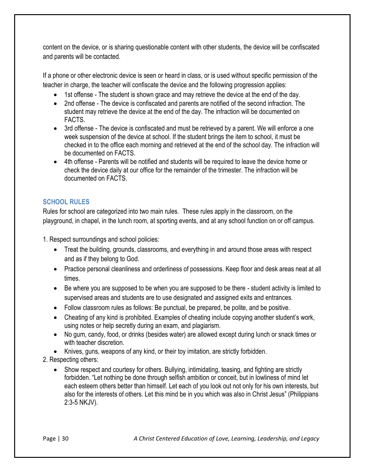content on the device, or is sharing questionable content with other students, the device will be confiscated and parents will be contacted.

If a phone or other electronic device is seen or heard in class, or is used without specific permission of the teacher in charge, the teacher will confiscate the device and the following progression applies:

- 1st offense The student is shown grace and may retrieve the device at the end of the day.
- 2nd offense The device is confiscated and parents are notified of the second infraction. The student may retrieve the device at the end of the day. The infraction will be documented on FACTS.
- 3rd offense The device is confiscated and must be retrieved by a parent. We will enforce a one week suspension of the device at school. If the student brings the item to school, it must be checked in to the office each morning and retrieved at the end of the school day. The infraction will be documented on FACTS.
- 4th offense Parents will be notified and students will be required to leave the device home or check the device daily at our office for the remainder of the trimester. The infraction will be documented on FACTS.

# <span id="page-29-0"></span>**SCHOOL RULES**

Rules for school are categorized into two main rules. These rules apply in the classroom, on the playground, in chapel, in the lunch room, at sporting events, and at any school function on or off campus.

1. Respect surroundings and school policies:

- Treat the building, grounds, classrooms, and everything in and around those areas with respect and as if they belong to God.
- Practice personal cleanliness and orderliness of possessions. Keep floor and desk areas neat at all times.
- Be where you are supposed to be when you are supposed to be there student activity is limited to supervised areas and students are to use designated and assigned exits and entrances.
- Follow classroom rules as follows: Be punctual, be prepared, be polite, and be positive.
- Cheating of any kind is prohibited. Examples of cheating include copying another student's work, using notes or help secretly during an exam, and plagiarism.
- No gum, candy, food, or drinks (besides water) are allowed except during lunch or snack times or with teacher discretion.
- Knives, guns, weapons of any kind, or their toy imitation, are strictly forbidden.
- 2. Respecting others:
	- Show respect and courtesy for others. Bullying, intimidating, teasing, and fighting are strictly forbidden. "Let nothing be done through selfish ambition or conceit, but in lowliness of mind let each esteem others better than himself. Let each of you look out not only for his own interests, but also for the interests of others. Let this mind be in you which was also in Christ Jesus" (Philippians 2:3-5 NKJV).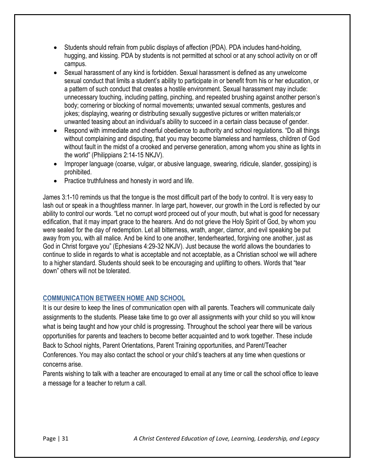- Students should refrain from public displays of affection (PDA). PDA includes hand-holding, hugging, and kissing. PDA by students is not permitted at school or at any school activity on or off campus.
- Sexual harassment of any kind is forbidden. Sexual harassment is defined as any unwelcome sexual conduct that limits a student's ability to participate in or benefit from his or her education, or a pattern of such conduct that creates a hostile environment. Sexual harassment may include: unnecessary touching, including patting, pinching, and repeated brushing against another person's body; cornering or blocking of normal movements; unwanted sexual comments, gestures and jokes; displaying, wearing or distributing sexually suggestive pictures or written materials;or unwanted teasing about an individual's ability to succeed in a certain class because of gender.
- Respond with immediate and cheerful obedience to authority and school regulations. "Do all things without complaining and disputing, that you may become blameless and harmless, children of God without fault in the midst of a crooked and perverse generation, among whom you shine as lights in the world" (Philippians 2:14-15 NKJV).
- Improper language (coarse, vulgar, or abusive language, swearing, ridicule, slander, gossiping) is prohibited.
- Practice truthfulness and honesty in word and life.

James 3:1-10 reminds us that the tongue is the most difficult part of the body to control. It is very easy to lash out or speak in a thoughtless manner. In large part, however, our growth in the Lord is reflected by our ability to control our words. "Let no corrupt word proceed out of your mouth, but what is good for necessary edification, that it may impart grace to the hearers. And do not grieve the Holy Spirit of God, by whom you were sealed for the day of redemption. Let all bitterness, wrath, anger, clamor, and evil speaking be put away from you, with all malice. And be kind to one another, tenderhearted, forgiving one another, just as God in Christ forgave you" (Ephesians 4:29-32 NKJV). Just because the world allows the boundaries to continue to slide in regards to what is acceptable and not acceptable, as a Christian school we will adhere to a higher standard. Students should seek to be encouraging and uplifting to others. Words that "tear down" others will not be tolerated.

# <span id="page-30-0"></span>**COMMUNICATION BETWEEN HOME AND SCHOOL**

It is our desire to keep the lines of communication open with all parents. Teachers will communicate daily assignments to the students. Please take time to go over all assignments with your child so you will know what is being taught and how your child is progressing. Throughout the school year there will be various opportunities for parents and teachers to become better acquainted and to work together. These include Back to School nights, Parent Orientations, Parent Training opportunities, and Parent/Teacher Conferences. You may also contact the school or your child's teachers at any time when questions or concerns arise.

Parents wishing to talk with a teacher are encouraged to email at any time or call the school office to leave a message for a teacher to return a call.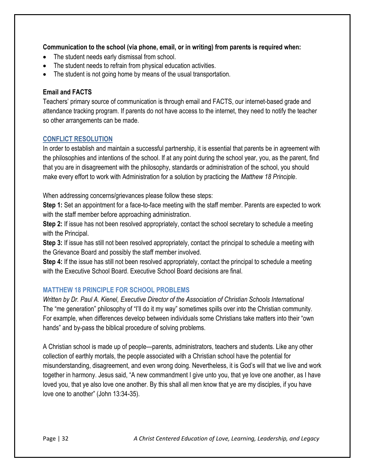## **Communication to the school (via phone, email, or in writing) from parents is required when:**

- The student needs early dismissal from school.
- The student needs to refrain from physical education activities.
- The student is not going home by means of the usual transportation.

## **Email and FACTS**

Teachers' primary source of communication is through email and FACTS, our internet-based grade and attendance tracking program. If parents do not have access to the internet, they need to notify the teacher so other arrangements can be made.

## <span id="page-31-0"></span>**CONFLICT RESOLUTION**

In order to establish and maintain a successful partnership, it is essential that parents be in agreement with the philosophies and intentions of the school. If at any point during the school year, you, as the parent, find that you are in disagreement with the philosophy, standards or administration of the school, you should make every effort to work with Administration for a solution by practicing the *Matthew 18 Principle*.

When addressing concerns/grievances please follow these steps:

**Step 1:** Set an appointment for a face-to-face meeting with the staff member. Parents are expected to work with the staff member before approaching administration.

**Step 2:** If issue has not been resolved appropriately, contact the school secretary to schedule a meeting with the Principal.

**Step 3:** If issue has still not been resolved appropriately, contact the principal to schedule a meeting with the Grievance Board and possibly the staff member involved.

**Step 4:** If the issue has still not been resolved appropriately, contact the principal to schedule a meeting with the Executive School Board. Executive School Board decisions are final.

# <span id="page-31-1"></span>**MATTHEW 18 PRINCIPLE FOR SCHOOL PROBLEMS**

*Written by Dr. Paul A. Kienel, Executive Director of the Association of Christian Schools International* The "me generation" philosophy of "I'll do it my way" sometimes spills over into the Christian community. For example, when differences develop between individuals some Christians take matters into their "own hands" and by-pass the biblical procedure of solving problems.

A Christian school is made up of people—parents, administrators, teachers and students. Like any other collection of earthly mortals, the people associated with a Christian school have the potential for misunderstanding, disagreement, and even wrong doing. Nevertheless, it is God's will that we live and work together in harmony. Jesus said, "A new commandment I give unto you, that ye love one another, as I have loved you, that ye also love one another. By this shall all men know that ye are my disciples, if you have love one to another" (John 13:34-35).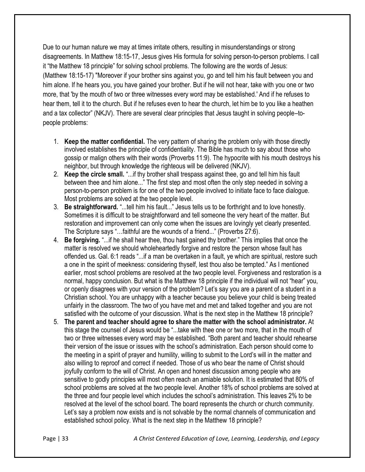Due to our human nature we may at times irritate others, resulting in misunderstandings or strong disagreements. In Matthew 18:15-17, Jesus gives His formula for solving person-to-person problems. I call it "the Matthew 18 principle" for solving school problems. The following are the words of Jesus: (Matthew 18:15-17) "Moreover if your brother sins against you, go and tell him his fault between you and him alone. If he hears you, you have gained your brother. But if he will not hear, take with you one or two more, that 'by the mouth of two or three witnesses every word may be established.' And if he refuses to hear them, tell it to the church. But if he refuses even to hear the church, let him be to you like a heathen and a tax collector" (NKJV). There are several clear principles that Jesus taught in solving people–topeople problems:

- 1. **Keep the matter confidential.** The very pattern of sharing the problem only with those directly involved establishes the principle of confidentiality. The Bible has much to say about those who gossip or malign others with their words (Proverbs 11:9). The hypocrite with his mouth destroys his neighbor, but through knowledge the righteous will be delivered (NKJV).
- 2. **Keep the circle small.** "...if thy brother shall trespass against thee, go and tell him his fault between thee and him alone..." The first step and most often the only step needed in solving a person-to-person problem is for one of the two people involved to initiate face to face dialogue. Most problems are solved at the two people level.
- 3. **Be straightforward.** "...tell him his fault..." Jesus tells us to be forthright and to love honestly. Sometimes it is difficult to be straightforward and tell someone the very heart of the matter. But restoration and improvement can only come when the issues are lovingly yet clearly presented. The Scripture says "…faithful are the wounds of a friend..." (Proverbs 27:6).
- 4. **Be forgiving.** "...if he shall hear thee, thou hast gained thy brother." This implies that once the matter is resolved we should wholeheartedly forgive and restore the person whose fault has offended us. Gal. 6:1 reads "...if a man be overtaken in a fault, ye which are spiritual, restore such a one in the spirit of meekness: considering thyself, lest thou also be tempted." As I mentioned earlier, most school problems are resolved at the two people level. Forgiveness and restoration is a normal, happy conclusion. But what is the Matthew 18 principle if the individual will not "hear" you, or openly disagrees with your version of the problem? Let's say you are a parent of a student in a Christian school. You are unhappy with a teacher because you believe your child is being treated unfairly in the classroom. The two of you have met and met and talked together and you are not satisfied with the outcome of your discussion. What is the next step in the Matthew 18 principle?
- 5. **The parent and teacher should agree to share the matter with the school administrator.** At this stage the counsel of Jesus would be "...take with thee one or two more, that in the mouth of two or three witnesses every word may be established. "Both parent and teacher should rehearse their version of the issue or issues with the school's administration. Each person should come to the meeting in a spirit of prayer and humility, willing to submit to the Lord's will in the matter and also willing to reproof and correct if needed. Those of us who bear the name of Christ should joyfully conform to the will of Christ. An open and honest discussion among people who are sensitive to godly principles will most often reach an amiable solution. It is estimated that 80% of school problems are solved at the two people level. Another 18% of school problems are solved at the three and four people level which includes the school's administration. This leaves 2% to be resolved at the level of the school board. The board represents the church or church community. Let's say a problem now exists and is not solvable by the normal channels of communication and established school policy. What is the next step in the Matthew 18 principle?

Page | 33 *A Christ Centered Education of Love, Learning, Leadership, and Legacy*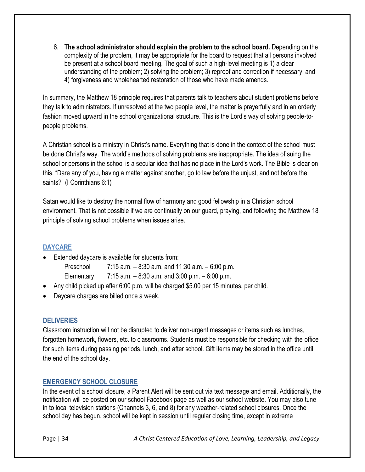6. **The school administrator should explain the problem to the school board.** Depending on the complexity of the problem, it may be appropriate for the board to request that all persons involved be present at a school board meeting. The goal of such a high-level meeting is 1) a clear understanding of the problem; 2) solving the problem; 3) reproof and correction if necessary; and 4) forgiveness and wholehearted restoration of those who have made amends.

In summary, the Matthew 18 principle requires that parents talk to teachers about student problems before they talk to administrators. If unresolved at the two people level, the matter is prayerfully and in an orderly fashion moved upward in the school organizational structure. This is the Lord's way of solving people-topeople problems.

A Christian school is a ministry in Christ's name. Everything that is done in the context of the school must be done Christ's way. The world's methods of solving problems are inappropriate. The idea of suing the school or persons in the school is a secular idea that has no place in the Lord's work. The Bible is clear on this. "Dare any of you, having a matter against another, go to law before the unjust, and not before the saints?" (I Corinthians 6:1)

Satan would like to destroy the normal flow of harmony and good fellowship in a Christian school environment. That is not possible if we are continually on our guard, praying, and following the Matthew 18 principle of solving school problems when issues arise.

# <span id="page-33-0"></span>**DAYCARE**

Extended daycare is available for students from:

Preschool 7:15 a.m. – 8:30 a.m. and 11:30 a.m. – 6:00 p.m.

Elementary  $7:15$  a.m.  $-8:30$  a.m. and  $3:00$  p.m.  $-6:00$  p.m.

- Any child picked up after 6:00 p.m. will be charged \$5.00 per 15 minutes, per child.
- Daycare charges are billed once a week.

## <span id="page-33-1"></span>**DELIVERIES**

Classroom instruction will not be disrupted to deliver non-urgent messages or items such as lunches, forgotten homework, flowers, etc. to classrooms. Students must be responsible for checking with the office for such items during passing periods, lunch, and after school. Gift items may be stored in the office until the end of the school day.

# <span id="page-33-2"></span>**EMERGENCY SCHOOL CLOSURE**

In the event of a school closure, a Parent Alert will be sent out via text message and email. Additionally, the notification will be posted on our school Facebook page as well as our school website. You may also tune in to local television stations (Channels 3, 6, and 8) for any weather-related school closures. Once the school day has begun, school will be kept in session until regular closing time, except in extreme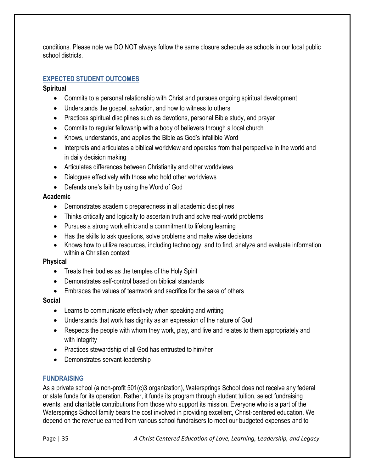conditions. Please note we DO NOT always follow the same closure schedule as schools in our local public school districts.

## <span id="page-34-0"></span>**EXPECTED STUDENT OUTCOMES**

## **Spiritual**

- Commits to a personal relationship with Christ and pursues ongoing spiritual development
- Understands the gospel, salvation, and how to witness to others
- Practices spiritual disciplines such as devotions, personal Bible study, and prayer
- Commits to regular fellowship with a body of believers through a local church
- Knows, understands, and applies the Bible as God's infallible Word
- Interprets and articulates a biblical worldview and operates from that perspective in the world and in daily decision making
- Articulates differences between Christianity and other worldviews
- Dialogues effectively with those who hold other worldviews
- Defends one's faith by using the Word of God

#### **Academic**

- Demonstrates academic preparedness in all academic disciplines
- Thinks critically and logically to ascertain truth and solve real-world problems
- Pursues a strong work ethic and a commitment to lifelong learning
- Has the skills to ask questions, solve problems and make wise decisions
- Knows how to utilize resources, including technology, and to find, analyze and evaluate information within a Christian context

## **Physical**

- Treats their bodies as the temples of the Holy Spirit
- Demonstrates self-control based on biblical standards
- Embraces the values of teamwork and sacrifice for the sake of others

## **Social**

- Learns to communicate effectively when speaking and writing
- Understands that work has dignity as an expression of the nature of God
- Respects the people with whom they work, play, and live and relates to them appropriately and with integrity
- Practices stewardship of all God has entrusted to him/her
- Demonstrates servant-leadership

## <span id="page-34-1"></span>**FUNDRAISING**

As a private school (a non-profit 501(c)3 organization), Watersprings School does not receive any federal or state funds for its operation. Rather, it funds its program through student tuition, select fundraising events, and charitable contributions from those who support its mission. Everyone who is a part of the Watersprings School family bears the cost involved in providing excellent, Christ-centered education. We depend on the revenue earned from various school fundraisers to meet our budgeted expenses and to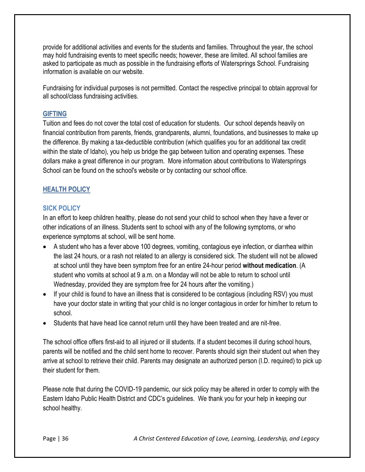provide for additional activities and events for the students and families. Throughout the year, the school may hold fundraising events to meet specific needs; however, these are limited. All school families are asked to participate as much as possible in the fundraising efforts of Watersprings School. Fundraising information is available on our website.

Fundraising for individual purposes is not permitted. Contact the respective principal to obtain approval for all school/class fundraising activities.

## <span id="page-35-0"></span>**GIFTING**

Tuition and fees do not cover the total cost of education for students. Our school depends heavily on financial contribution from parents, friends, grandparents, alumni, foundations, and businesses to make up the difference. By making a tax-deductible contribution (which qualifies you for an additional tax credit within the state of Idaho), you help us bridge the gap between tuition and operating expenses. These dollars make a great difference in our program. More information about contributions to Watersprings School can be found on the school's website or by contacting our school office.

# <span id="page-35-1"></span>**HEALTH POLICY**

## <span id="page-35-2"></span>**SICK POLICY**

In an effort to keep children healthy, please do not send your child to school when they have a fever or other indications of an illness. Students sent to school with any of the following symptoms, or who experience symptoms at school, will be sent home.

- A student who has a fever above 100 degrees, vomiting, contagious eye infection, or diarrhea within the last 24 hours, or a rash not related to an allergy is considered sick. The student will not be allowed at school until they have been symptom free for an entire 24-hour period **without medication**. (A student who vomits at school at 9 a.m. on a Monday will not be able to return to school until Wednesday, provided they are symptom free for 24 hours after the vomiting.)
- If your child is found to have an illness that is considered to be contagious (including RSV) you must have your doctor state in writing that your child is no longer contagious in order for him/her to return to school.
- Students that have head lice cannot return until they have been treated and are nit-free.

The school office offers first-aid to all injured or ill students. If a student becomes ill during school hours, parents will be notified and the child sent home to recover. Parents should sign their student out when they arrive at school to retrieve their child. Parents may designate an authorized person (I.D. required) to pick up their student for them.

Please note that during the COVID-19 pandemic, our sick policy may be altered in order to comply with the Eastern Idaho Public Health District and CDC's guidelines. We thank you for your help in keeping our school healthy.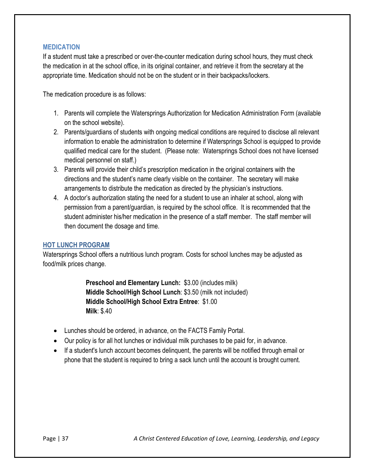## <span id="page-36-0"></span>**MEDICATION**

If a student must take a prescribed or over-the-counter medication during school hours, they must check the medication in at the school office, in its original container, and retrieve it from the secretary at the appropriate time. Medication should not be on the student or in their backpacks/lockers.

The medication procedure is as follows:

- 1. Parents will complete the Watersprings Authorization for Medication Administration Form (available on the school website).
- 2. Parents/guardians of students with ongoing medical conditions are required to disclose all relevant information to enable the administration to determine if Watersprings School is equipped to provide qualified medical care for the student. (Please note: Watersprings School does not have licensed medical personnel on staff.)
- 3. Parents will provide their child's prescription medication in the original containers with the directions and the student's name clearly visible on the container. The secretary will make arrangements to distribute the medication as directed by the physician's instructions.
- 4. A doctor's authorization stating the need for a student to use an inhaler at school, along with permission from a parent/guardian, is required by the school office. It is recommended that the student administer his/her medication in the presence of a staff member. The staff member will then document the dosage and time.

## <span id="page-36-1"></span>**HOT LUNCH PROGRAM**

Watersprings School offers a nutritious lunch program. Costs for school lunches may be adjusted as food/milk prices change.

> **Preschool and Elementary Lunch:** \$3.00 (includes milk) **Middle School/High School Lunch**: \$3.50 (milk not included) **Middle School/High School Extra Entree**: \$1.00 **Milk**: \$.40

- Lunches should be ordered, in advance, on the FACTS Family Portal.
- Our policy is for all hot lunches or individual milk purchases to be paid for, in advance.
- If a student's lunch account becomes delinquent, the parents will be notified through email or phone that the student is required to bring a sack lunch until the account is brought current.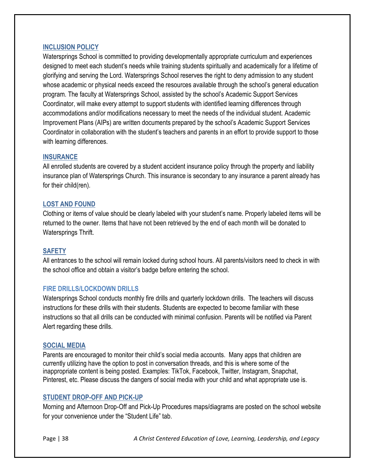#### <span id="page-37-0"></span>**INCLUSION POLICY**

Watersprings School is committed to providing developmentally appropriate curriculum and experiences designed to meet each student's needs while training students spiritually and academically for a lifetime of glorifying and serving the Lord. Watersprings School reserves the right to deny admission to any student whose academic or physical needs exceed the resources available through the school's general education program. The faculty at Watersprings School, assisted by the school's Academic Support Services Coordinator, will make every attempt to support students with identified learning differences through accommodations and/or modifications necessary to meet the needs of the individual student. Academic Improvement Plans (AIPs) are written documents prepared by the school's Academic Support Services Coordinator in collaboration with the student's teachers and parents in an effort to provide support to those with learning differences.

#### <span id="page-37-1"></span>**INSURANCE**

All enrolled students are covered by a student accident insurance policy through the property and liability insurance plan of Watersprings Church. This insurance is secondary to any insurance a parent already has for their child(ren).

#### <span id="page-37-2"></span>**LOST AND FOUND**

Clothing or items of value should be clearly labeled with your student's name. Properly labeled items will be returned to the owner. Items that have not been retrieved by the end of each month will be donated to Watersprings Thrift.

#### <span id="page-37-3"></span>**SAFETY**

All entrances to the school will remain locked during school hours. All parents/visitors need to check in with the school office and obtain a visitor's badge before entering the school.

## <span id="page-37-4"></span>**FIRE DRILLS/LOCKDOWN DRILLS**

Watersprings School conducts monthly fire drills and quarterly lockdown drills. The teachers will discuss instructions for these drills with their students. Students are expected to become familiar with these instructions so that all drills can be conducted with minimal confusion. Parents will be notified via Parent Alert regarding these drills.

#### <span id="page-37-5"></span>**SOCIAL MEDIA**

Parents are encouraged to monitor their child's social media accounts. Many apps that children are currently utilizing have the option to post in conversation threads, and this is where some of the inappropriate content is being posted. Examples: TikTok, Facebook, Twitter, Instagram, Snapchat, Pinterest, etc. Please discuss the dangers of social media with your child and what appropriate use is.

#### <span id="page-37-6"></span>**STUDENT DROP-OFF AND PICK-UP**

Morning and Afternoon Drop-Off and Pick-Up Procedures maps/diagrams are posted on the school website for your convenience under the "Student Life" tab.

Page | 38 *A Christ Centered Education of Love, Learning, Leadership, and Legacy*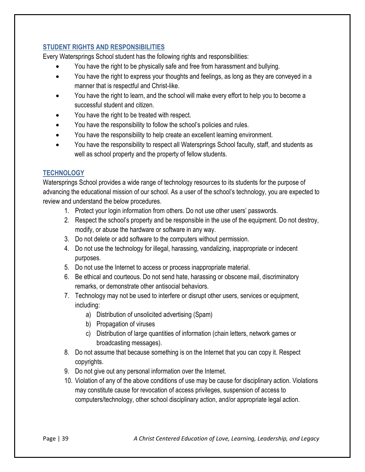# <span id="page-38-0"></span>**STUDENT RIGHTS AND RESPONSIBILITIES**

Every Watersprings School student has the following rights and responsibilities:

- You have the right to be physically safe and free from harassment and bullying.
- You have the right to express your thoughts and feelings, as long as they are conveyed in a manner that is respectful and Christ-like.
- You have the right to learn, and the school will make every effort to help you to become a successful student and citizen.
- You have the right to be treated with respect.
- You have the responsibility to follow the school's policies and rules.
- You have the responsibility to help create an excellent learning environment.
- You have the responsibility to respect all Watersprings School faculty, staff, and students as well as school property and the property of fellow students.

# <span id="page-38-1"></span>**TECHNOLOGY**

Watersprings School provides a wide range of technology resources to its students for the purpose of advancing the educational mission of our school. As a user of the school's technology, you are expected to review and understand the below procedures.

- 1. Protect your login information from others. Do not use other users' passwords.
- 2. Respect the school's property and be responsible in the use of the equipment. Do not destroy, modify, or abuse the hardware or software in any way.
- 3. Do not delete or add software to the computers without permission.
- 4. Do not use the technology for illegal, harassing, vandalizing, inappropriate or indecent purposes.
- 5. Do not use the Internet to access or process inappropriate material.
- 6. Be ethical and courteous. Do not send hate, harassing or obscene mail, discriminatory remarks, or demonstrate other antisocial behaviors.
- 7. Technology may not be used to interfere or disrupt other users, services or equipment, including:
	- a) Distribution of unsolicited advertising (Spam)
	- b) Propagation of viruses
	- c) Distribution of large quantities of information (chain letters, network games or broadcasting messages).
- 8. Do not assume that because something is on the Internet that you can copy it. Respect copyrights.
- 9. Do not give out any personal information over the Internet.
- 10. Violation of any of the above conditions of use may be cause for disciplinary action. Violations may constitute cause for revocation of access privileges, suspension of access to computers/technology, other school disciplinary action, and/or appropriate legal action.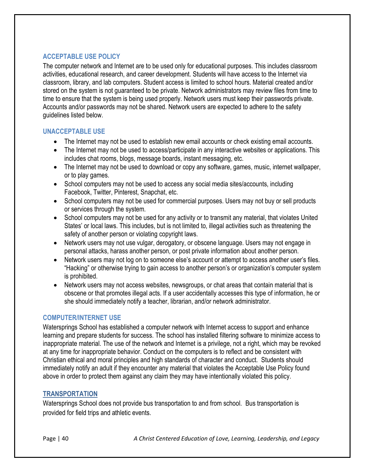# <span id="page-39-0"></span>**ACCEPTABLE USE POLICY**

The computer network and Internet are to be used only for educational purposes. This includes classroom activities, educational research, and career development. Students will have access to the Internet via classroom, library, and lab computers. Student access is limited to school hours. Material created and/or stored on the system is not guaranteed to be private. Network administrators may review files from time to time to ensure that the system is being used properly. Network users must keep their passwords private. Accounts and/or passwords may not be shared. Network users are expected to adhere to the safety guidelines listed below.

## <span id="page-39-1"></span>**UNACCEPTABLE USE**

- The Internet may not be used to establish new email accounts or check existing email accounts.
- The Internet may not be used to access/participate in any interactive websites or applications. This includes chat rooms, blogs, message boards, instant messaging, etc.
- The Internet may not be used to download or copy any software, games, music, internet wallpaper, or to play games.
- School computers may not be used to access any social media sites/accounts, including Facebook, Twitter, Pinterest, Snapchat, etc.
- School computers may not be used for commercial purposes. Users may not buy or sell products or services through the system.
- School computers may not be used for any activity or to transmit any material, that violates United States' or local laws. This includes, but is not limited to, illegal activities such as threatening the safety of another person or violating copyright laws.
- Network users may not use vulgar, derogatory, or obscene language. Users may not engage in personal attacks, harass another person, or post private information about another person.
- Network users may not log on to someone else's account or attempt to access another user's files. "Hacking" or otherwise trying to gain access to another person's or organization's computer system is prohibited.
- Network users may not access websites, newsgroups, or chat areas that contain material that is obscene or that promotes illegal acts. If a user accidentally accesses this type of information, he or she should immediately notify a teacher, librarian, and/or network administrator.

## <span id="page-39-2"></span>**COMPUTER/INTERNET USE**

Watersprings School has established a computer network with Internet access to support and enhance learning and prepare students for success. The school has installed filtering software to minimize access to inappropriate material. The use of the network and Internet is a privilege, not a right, which may be revoked at any time for inappropriate behavior. Conduct on the computers is to reflect and be consistent with Christian ethical and moral principles and high standards of character and conduct. Students should immediately notify an adult if they encounter any material that violates the Acceptable Use Policy found above in order to protect them against any claim they may have intentionally violated this policy.

## <span id="page-39-3"></span>**TRANSPORTATION**

Watersprings School does not provide bus transportation to and from school. Bus transportation is provided for field trips and athletic events.